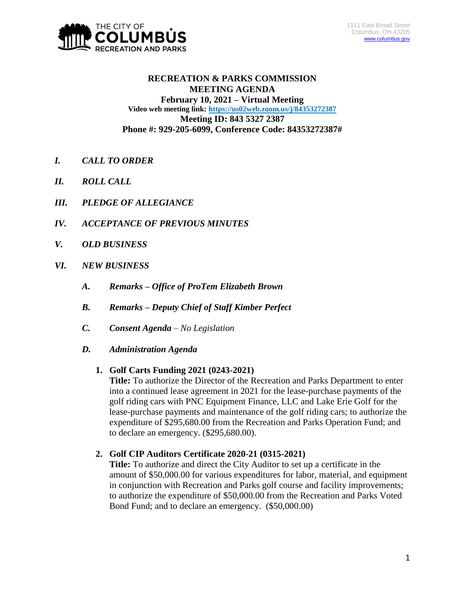

## **RECREATION & PARKS COMMISSION MEETING AGENDA February 10, 2021 – Virtual Meeting Video web meeting link: <https://us02web.zoom.us/j/84353272387> Meeting ID: 843 5327 2387 Phone #: 929-205-6099, Conference Code: 84353272387#**

- *I. CALL TO ORDER*
- *II. ROLL CALL*
- *III. PLEDGE OF ALLEGIANCE*
- *IV. ACCEPTANCE OF PREVIOUS MINUTES*
- *V. OLD BUSINESS*
- *VI. NEW BUSINESS*
	- *A. Remarks – Office of ProTem Elizabeth Brown*
	- *B. Remarks – Deputy Chief of Staff Kimber Perfect*
	- *C. Consent Agenda – No Legislation*
	- *D. Administration Agenda*

## **1. Golf Carts Funding 2021 (0243-2021)**

**Title:** To authorize the Director of the Recreation and Parks Department to enter into a continued lease agreement in 2021 for the lease-purchase payments of the golf riding cars with PNC Equipment Finance, LLC and Lake Erie Golf for the lease-purchase payments and maintenance of the golf riding cars; to authorize the expenditure of \$295,680.00 from the Recreation and Parks Operation Fund; and to declare an emergency. (\$295,680.00).

## **2. Golf CIP Auditors Certificate 2020-21 (0315-2021)**

**Title:** To authorize and direct the City Auditor to set up a certificate in the amount of \$50,000.00 for various expenditures for labor, material, and equipment in conjunction with Recreation and Parks golf course and facility improvements; to authorize the expenditure of \$50,000.00 from the Recreation and Parks Voted Bond Fund; and to declare an emergency. (\$50,000.00)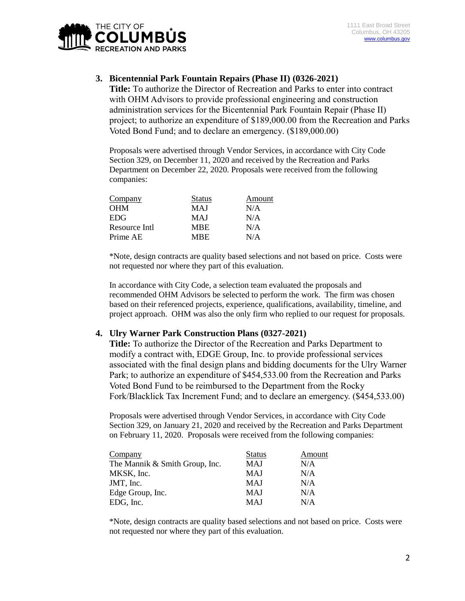

## **3. Bicentennial Park Fountain Repairs (Phase II) (0326-2021)**

**Title:** To authorize the Director of Recreation and Parks to enter into contract with OHM Advisors to provide professional engineering and construction administration services for the Bicentennial Park Fountain Repair (Phase II) project; to authorize an expenditure of \$189,000.00 from the Recreation and Parks Voted Bond Fund; and to declare an emergency. (\$189,000.00)

Proposals were advertised through Vendor Services, in accordance with City Code Section 329, on December 11, 2020 and received by the Recreation and Parks Department on December 22, 2020. Proposals were received from the following companies:

| <b>Company</b> | <b>Status</b> | Amount |
|----------------|---------------|--------|
| <b>OHM</b>     | MAJ           | N/A    |
| <b>EDG</b>     | MAJ           | N/A    |
| Resource Intl  | <b>MBE</b>    | N/A    |
| Prime AE       | MBE.          | N/A    |

\*Note, design contracts are quality based selections and not based on price. Costs were not requested nor where they part of this evaluation.

In accordance with City Code, a selection team evaluated the proposals and recommended OHM Advisors be selected to perform the work. The firm was chosen based on their referenced projects, experience, qualifications, availability, timeline, and project approach. OHM was also the only firm who replied to our request for proposals.

#### **4. Ulry Warner Park Construction Plans (0327-2021)**

**Title:** To authorize the Director of the Recreation and Parks Department to modify a contract with, EDGE Group, Inc. to provide professional services associated with the final design plans and bidding documents for the Ulry Warner Park; to authorize an expenditure of \$454,533.00 from the Recreation and Parks Voted Bond Fund to be reimbursed to the Department from the Rocky Fork/Blacklick Tax Increment Fund; and to declare an emergency. (\$454,533.00)

Proposals were advertised through Vendor Services, in accordance with City Code Section 329, on January 21, 2020 and received by the Recreation and Parks Department on February 11, 2020. Proposals were received from the following companies:

| Company                        | <b>Status</b> | Amount |
|--------------------------------|---------------|--------|
| The Mannik & Smith Group, Inc. | MAJ           | N/A    |
| MKSK, Inc.                     | MAJ           | N/A    |
| JMT, Inc.                      | MAJ           | N/A    |
| Edge Group, Inc.               | MAJ           | N/A    |
| EDG, Inc.                      | MAJ           | N/A    |

\*Note, design contracts are quality based selections and not based on price. Costs were not requested nor where they part of this evaluation.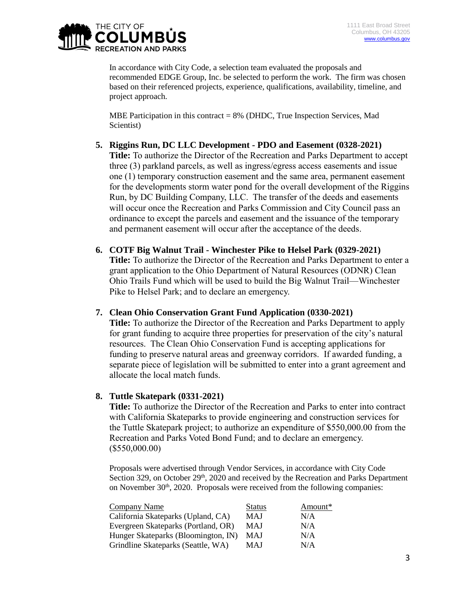

In accordance with City Code, a selection team evaluated the proposals and recommended EDGE Group, Inc. be selected to perform the work. The firm was chosen based on their referenced projects, experience, qualifications, availability, timeline, and project approach.

MBE Participation in this contract = 8% (DHDC, True Inspection Services, Mad Scientist)

# **5. Riggins Run, DC LLC Development - PDO and Easement (0328-2021)**

**Title:** To authorize the Director of the Recreation and Parks Department to accept three (3) parkland parcels, as well as ingress/egress access easements and issue one (1) temporary construction easement and the same area, permanent easement for the developments storm water pond for the overall development of the Riggins Run, by DC Building Company, LLC. The transfer of the deeds and easements will occur once the Recreation and Parks Commission and City Council pass an ordinance to except the parcels and easement and the issuance of the temporary and permanent easement will occur after the acceptance of the deeds.

## **6. COTF Big Walnut Trail - Winchester Pike to Helsel Park (0329-2021)**

**Title:** To authorize the Director of the Recreation and Parks Department to enter a grant application to the Ohio Department of Natural Resources (ODNR) Clean Ohio Trails Fund which will be used to build the Big Walnut Trail—Winchester Pike to Helsel Park; and to declare an emergency.

## **7. Clean Ohio Conservation Grant Fund Application (0330-2021)**

**Title:** To authorize the Director of the Recreation and Parks Department to apply for grant funding to acquire three properties for preservation of the city's natural resources. The Clean Ohio Conservation Fund is accepting applications for funding to preserve natural areas and greenway corridors. If awarded funding, a separate piece of legislation will be submitted to enter into a grant agreement and allocate the local match funds.

# **8. Tuttle Skatepark (0331-2021)**

**Title:** To authorize the Director of the Recreation and Parks to enter into contract with California Skateparks to provide engineering and construction services for the Tuttle Skatepark project; to authorize an expenditure of \$550,000.00 from the Recreation and Parks Voted Bond Fund; and to declare an emergency. (\$550,000.00)

Proposals were advertised through Vendor Services, in accordance with City Code Section 329, on October  $29<sup>th</sup>$ , 2020 and received by the Recreation and Parks Department on November  $30<sup>th</sup>$ , 2020. Proposals were received from the following companies:

| Company Name                        | <b>Status</b> | Amount* |
|-------------------------------------|---------------|---------|
| California Skateparks (Upland, CA)  | MAJ           | N/A     |
| Evergreen Skateparks (Portland, OR) | MAJ           | N/A     |
| Hunger Skateparks (Bloomington, IN) | MAJ           | N/A     |
| Grindline Skateparks (Seattle, WA)  | MAJ           | N/A     |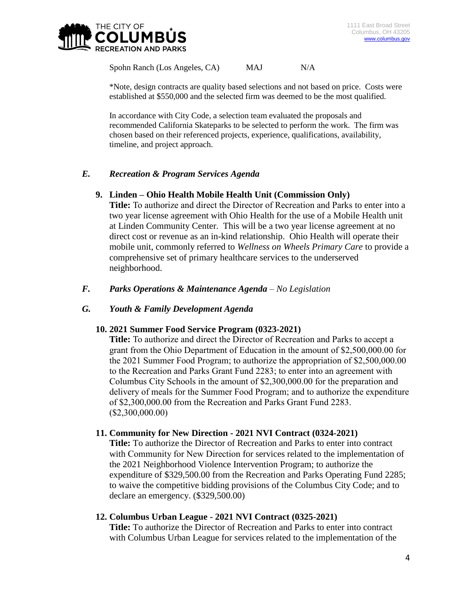

Spohn Ranch (Los Angeles, CA) MAJ N/A

\*Note, design contracts are quality based selections and not based on price. Costs were established at \$550,000 and the selected firm was deemed to be the most qualified.

In accordance with City Code, a selection team evaluated the proposals and recommended California Skateparks to be selected to perform the work. The firm was chosen based on their referenced projects, experience, qualifications, availability, timeline, and project approach.

## *E. Recreation & Program Services Agenda*

## **9. Linden – Ohio Health Mobile Health Unit (Commission Only)**

**Title:** To authorize and direct the Director of Recreation and Parks to enter into a two year license agreement with Ohio Health for the use of a Mobile Health unit at Linden Community Center. This will be a two year license agreement at no direct cost or revenue as an in-kind relationship. Ohio Health will operate their mobile unit, commonly referred to *Wellness on Wheels Primary Care* to provide a comprehensive set of primary healthcare services to the underserved neighborhood.

## *F. Parks Operations & Maintenance Agenda – No Legislation*

## *G. Youth & Family Development Agenda*

## **10. 2021 Summer Food Service Program (0323-2021)**

**Title:** To authorize and direct the Director of Recreation and Parks to accept a grant from the Ohio Department of Education in the amount of \$2,500,000.00 for the 2021 Summer Food Program; to authorize the appropriation of \$2,500,000.00 to the Recreation and Parks Grant Fund 2283; to enter into an agreement with Columbus City Schools in the amount of \$2,300,000.00 for the preparation and delivery of meals for the Summer Food Program; and to authorize the expenditure of \$2,300,000.00 from the Recreation and Parks Grant Fund 2283. (\$2,300,000.00)

## **11. Community for New Direction - 2021 NVI Contract (0324-2021)**

**Title:** To authorize the Director of Recreation and Parks to enter into contract with Community for New Direction for services related to the implementation of the 2021 Neighborhood Violence Intervention Program; to authorize the expenditure of \$329,500.00 from the Recreation and Parks Operating Fund 2285; to waive the competitive bidding provisions of the Columbus City Code; and to declare an emergency. (\$329,500.00)

#### **12. Columbus Urban League - 2021 NVI Contract (0325-2021)**

**Title:** To authorize the Director of Recreation and Parks to enter into contract with Columbus Urban League for services related to the implementation of the